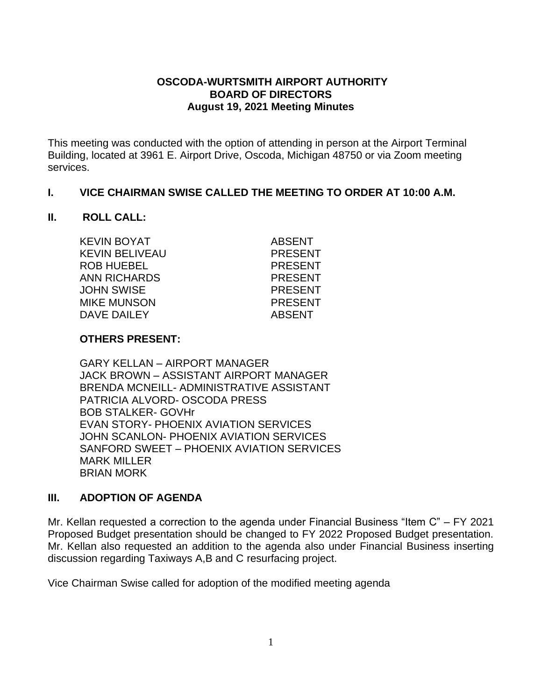## **OSCODA-WURTSMITH AIRPORT AUTHORITY BOARD OF DIRECTORS August 19, 2021 Meeting Minutes**

This meeting was conducted with the option of attending in person at the Airport Terminal Building, located at 3961 E. Airport Drive, Oscoda, Michigan 48750 or via Zoom meeting services.

## **I. VICE CHAIRMAN SWISE CALLED THE MEETING TO ORDER AT 10:00 A.M.**

#### **II. ROLL CALL:**

KEVIN BOYAT ABSENT KEVIN BELIVEAU PRESENT ROB HUEBEL PRESENT ANN RICHARDS PRESENT JOHN SWISE PRESENT MIKE MUNSON PRESENT DAVE DAILEY ABSENT

#### **OTHERS PRESENT:**

GARY KELLAN – AIRPORT MANAGER JACK BROWN – ASSISTANT AIRPORT MANAGER BRENDA MCNEILL- ADMINISTRATIVE ASSISTANT PATRICIA ALVORD- OSCODA PRESS BOB STALKER- GOVHr EVAN STORY- PHOENIX AVIATION SERVICES JOHN SCANLON- PHOENIX AVIATION SERVICES SANFORD SWEET – PHOENIX AVIATION SERVICES MARK MILLER BRIAN MORK

#### **III. ADOPTION OF AGENDA**

Mr. Kellan requested a correction to the agenda under Financial Business "Item C" – FY 2021 Proposed Budget presentation should be changed to FY 2022 Proposed Budget presentation. Mr. Kellan also requested an addition to the agenda also under Financial Business inserting discussion regarding Taxiways A,B and C resurfacing project.

Vice Chairman Swise called for adoption of the modified meeting agenda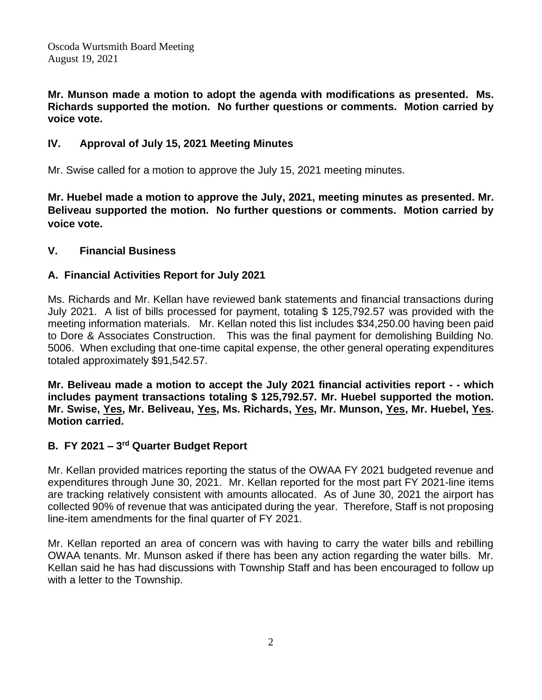**Mr. Munson made a motion to adopt the agenda with modifications as presented. Ms. Richards supported the motion. No further questions or comments. Motion carried by voice vote.**

# **IV. Approval of July 15, 2021 Meeting Minutes**

Mr. Swise called for a motion to approve the July 15, 2021 meeting minutes.

**Mr. Huebel made a motion to approve the July, 2021, meeting minutes as presented. Mr. Beliveau supported the motion. No further questions or comments. Motion carried by voice vote.**

# **V. Financial Business**

# **A. Financial Activities Report for July 2021**

Ms. Richards and Mr. Kellan have reviewed bank statements and financial transactions during July 2021. A list of bills processed for payment, totaling \$ 125,792.57 was provided with the meeting information materials. Mr. Kellan noted this list includes \$34,250.00 having been paid to Dore & Associates Construction. This was the final payment for demolishing Building No. 5006. When excluding that one-time capital expense, the other general operating expenditures totaled approximately \$91,542.57.

**Mr. Beliveau made a motion to accept the July 2021 financial activities report - - which includes payment transactions totaling \$ 125,792.57. Mr. Huebel supported the motion. Mr. Swise, Yes, Mr. Beliveau, Yes, Ms. Richards, Yes, Mr. Munson, Yes, Mr. Huebel, Yes. Motion carried.**

# **B. FY 2021 – 3 rd Quarter Budget Report**

Mr. Kellan provided matrices reporting the status of the OWAA FY 2021 budgeted revenue and expenditures through June 30, 2021. Mr. Kellan reported for the most part FY 2021-line items are tracking relatively consistent with amounts allocated. As of June 30, 2021 the airport has collected 90% of revenue that was anticipated during the year. Therefore, Staff is not proposing line-item amendments for the final quarter of FY 2021.

Mr. Kellan reported an area of concern was with having to carry the water bills and rebilling OWAA tenants. Mr. Munson asked if there has been any action regarding the water bills. Mr. Kellan said he has had discussions with Township Staff and has been encouraged to follow up with a letter to the Township.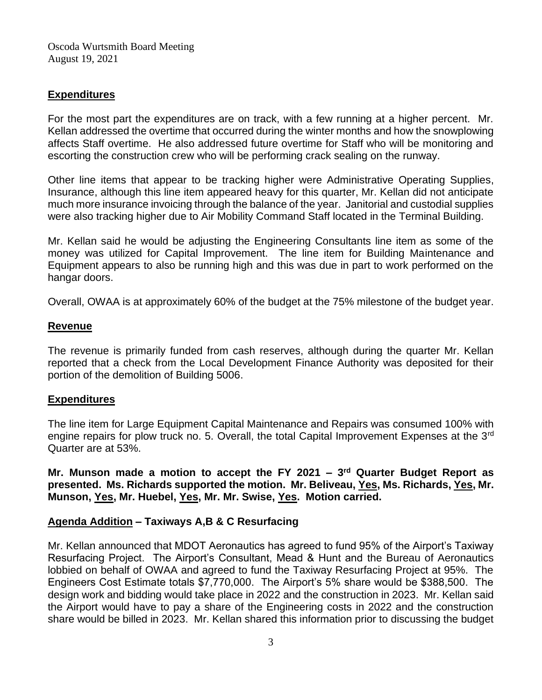## **Expenditures**

For the most part the expenditures are on track, with a few running at a higher percent. Mr. Kellan addressed the overtime that occurred during the winter months and how the snowplowing affects Staff overtime. He also addressed future overtime for Staff who will be monitoring and escorting the construction crew who will be performing crack sealing on the runway.

Other line items that appear to be tracking higher were Administrative Operating Supplies, Insurance, although this line item appeared heavy for this quarter, Mr. Kellan did not anticipate much more insurance invoicing through the balance of the year. Janitorial and custodial supplies were also tracking higher due to Air Mobility Command Staff located in the Terminal Building.

Mr. Kellan said he would be adjusting the Engineering Consultants line item as some of the money was utilized for Capital Improvement. The line item for Building Maintenance and Equipment appears to also be running high and this was due in part to work performed on the hangar doors.

Overall, OWAA is at approximately 60% of the budget at the 75% milestone of the budget year.

#### **Revenue**

The revenue is primarily funded from cash reserves, although during the quarter Mr. Kellan reported that a check from the Local Development Finance Authority was deposited for their portion of the demolition of Building 5006.

#### **Expenditures**

The line item for Large Equipment Capital Maintenance and Repairs was consumed 100% with engine repairs for plow truck no. 5. Overall, the total Capital Improvement Expenses at the 3<sup>rd</sup> Quarter are at 53%.

**Mr. Munson made a motion to accept the FY 2021 – 3 rd Quarter Budget Report as presented. Ms. Richards supported the motion. Mr. Beliveau, Yes, Ms. Richards, Yes, Mr. Munson, Yes, Mr. Huebel, Yes, Mr. Mr. Swise, Yes. Motion carried.**

## **Agenda Addition – Taxiways A,B & C Resurfacing**

Mr. Kellan announced that MDOT Aeronautics has agreed to fund 95% of the Airport's Taxiway Resurfacing Project. The Airport's Consultant, Mead & Hunt and the Bureau of Aeronautics lobbied on behalf of OWAA and agreed to fund the Taxiway Resurfacing Project at 95%. The Engineers Cost Estimate totals \$7,770,000. The Airport's 5% share would be \$388,500. The design work and bidding would take place in 2022 and the construction in 2023. Mr. Kellan said the Airport would have to pay a share of the Engineering costs in 2022 and the construction share would be billed in 2023. Mr. Kellan shared this information prior to discussing the budget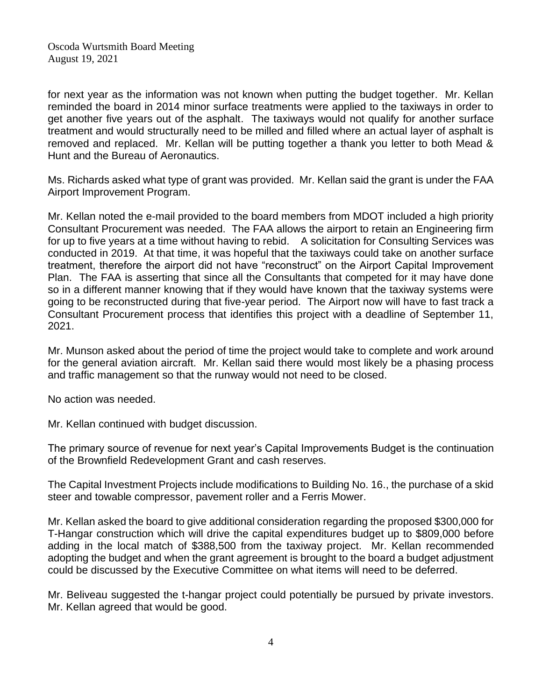for next year as the information was not known when putting the budget together. Mr. Kellan reminded the board in 2014 minor surface treatments were applied to the taxiways in order to get another five years out of the asphalt. The taxiways would not qualify for another surface treatment and would structurally need to be milled and filled where an actual layer of asphalt is removed and replaced. Mr. Kellan will be putting together a thank you letter to both Mead & Hunt and the Bureau of Aeronautics.

Ms. Richards asked what type of grant was provided. Mr. Kellan said the grant is under the FAA Airport Improvement Program.

Mr. Kellan noted the e-mail provided to the board members from MDOT included a high priority Consultant Procurement was needed. The FAA allows the airport to retain an Engineering firm for up to five years at a time without having to rebid. A solicitation for Consulting Services was conducted in 2019. At that time, it was hopeful that the taxiways could take on another surface treatment, therefore the airport did not have "reconstruct" on the Airport Capital Improvement Plan. The FAA is asserting that since all the Consultants that competed for it may have done so in a different manner knowing that if they would have known that the taxiway systems were going to be reconstructed during that five-year period. The Airport now will have to fast track a Consultant Procurement process that identifies this project with a deadline of September 11, 2021.

Mr. Munson asked about the period of time the project would take to complete and work around for the general aviation aircraft. Mr. Kellan said there would most likely be a phasing process and traffic management so that the runway would not need to be closed.

No action was needed.

Mr. Kellan continued with budget discussion.

The primary source of revenue for next year's Capital Improvements Budget is the continuation of the Brownfield Redevelopment Grant and cash reserves.

The Capital Investment Projects include modifications to Building No. 16., the purchase of a skid steer and towable compressor, pavement roller and a Ferris Mower.

Mr. Kellan asked the board to give additional consideration regarding the proposed \$300,000 for T-Hangar construction which will drive the capital expenditures budget up to \$809,000 before adding in the local match of \$388,500 from the taxiway project. Mr. Kellan recommended adopting the budget and when the grant agreement is brought to the board a budget adjustment could be discussed by the Executive Committee on what items will need to be deferred.

Mr. Beliveau suggested the t-hangar project could potentially be pursued by private investors. Mr. Kellan agreed that would be good.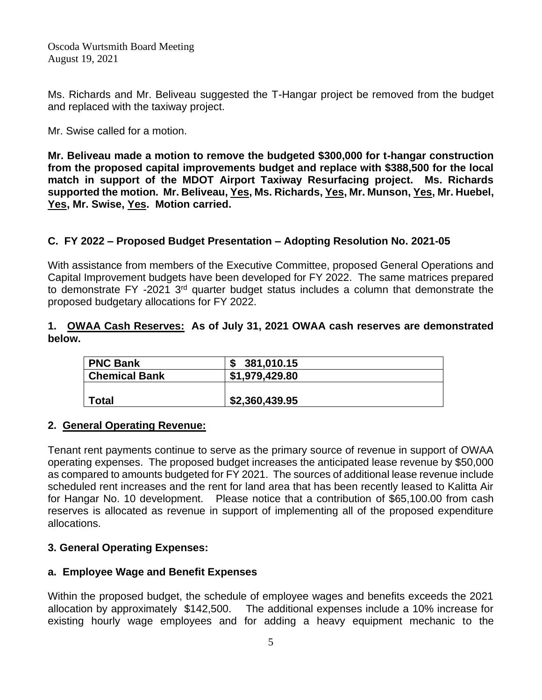Ms. Richards and Mr. Beliveau suggested the T-Hangar project be removed from the budget and replaced with the taxiway project.

Mr. Swise called for a motion.

**Mr. Beliveau made a motion to remove the budgeted \$300,000 for t-hangar construction from the proposed capital improvements budget and replace with \$388,500 for the local match in support of the MDOT Airport Taxiway Resurfacing project. Ms. Richards supported the motion. Mr. Beliveau, Yes, Ms. Richards, Yes, Mr. Munson, Yes, Mr. Huebel, Yes, Mr. Swise, Yes. Motion carried.**

## **C. FY 2022 – Proposed Budget Presentation – Adopting Resolution No. 2021-05**

With assistance from members of the Executive Committee, proposed General Operations and Capital Improvement budgets have been developed for FY 2022. The same matrices prepared to demonstrate FY -2021 3<sup>rd</sup> quarter budget status includes a column that demonstrate the proposed budgetary allocations for FY 2022.

### **1. OWAA Cash Reserves: As of July 31, 2021 OWAA cash reserves are demonstrated below.**

| <b>PNC Bank</b>      | 381,010.15     |  |
|----------------------|----------------|--|
| <b>Chemical Bank</b> | \$1,979,429.80 |  |
|                      |                |  |
| <b>Total</b>         | \$2,360,439.95 |  |

## **2. General Operating Revenue:**

Tenant rent payments continue to serve as the primary source of revenue in support of OWAA operating expenses. The proposed budget increases the anticipated lease revenue by \$50,000 as compared to amounts budgeted for FY 2021. The sources of additional lease revenue include scheduled rent increases and the rent for land area that has been recently leased to Kalitta Air for Hangar No. 10 development. Please notice that a contribution of \$65,100.00 from cash reserves is allocated as revenue in support of implementing all of the proposed expenditure allocations.

## **3. General Operating Expenses:**

## **a. Employee Wage and Benefit Expenses**

Within the proposed budget, the schedule of employee wages and benefits exceeds the 2021 allocation by approximately \$142,500. The additional expenses include a 10% increase for existing hourly wage employees and for adding a heavy equipment mechanic to the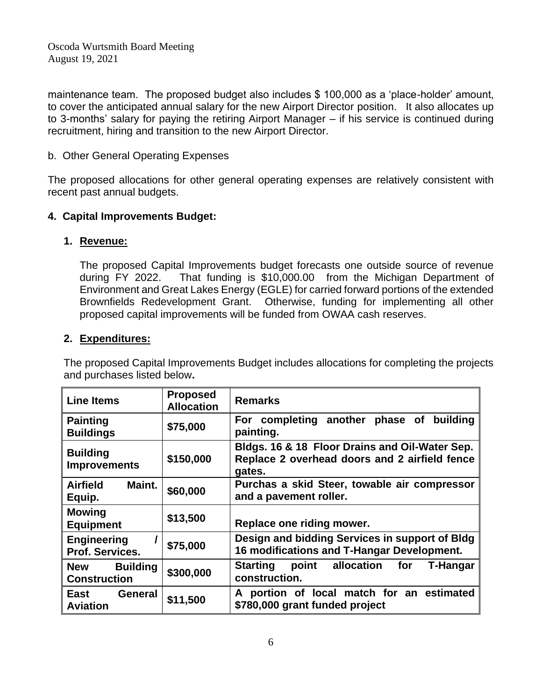maintenance team. The proposed budget also includes \$ 100,000 as a 'place-holder' amount, to cover the anticipated annual salary for the new Airport Director position. It also allocates up to 3-months' salary for paying the retiring Airport Manager – if his service is continued during recruitment, hiring and transition to the new Airport Director.

### b. Other General Operating Expenses

The proposed allocations for other general operating expenses are relatively consistent with recent past annual budgets.

## **4. Capital Improvements Budget:**

#### **1. Revenue:**

The proposed Capital Improvements budget forecasts one outside source of revenue during FY 2022. That funding is \$10,000.00 from the Michigan Department of Environment and Great Lakes Energy (EGLE) for carried forward portions of the extended Brownfields Redevelopment Grant. Otherwise, funding for implementing all other proposed capital improvements will be funded from OWAA cash reserves.

## **2. Expenditures:**

The proposed Capital Improvements Budget includes allocations for completing the projects and purchases listed below**.** 

| <b>Line Items</b>                      | <b>Proposed</b><br><b>Allocation</b> | <b>Remarks</b>                                                                                            |  |  |
|----------------------------------------|--------------------------------------|-----------------------------------------------------------------------------------------------------------|--|--|
| <b>Painting</b><br><b>Buildings</b>    | \$75,000                             | For completing another phase of<br>building<br>painting.                                                  |  |  |
| <b>Building</b><br><b>Improvements</b> | \$150,000                            | Bldgs. 16 & 18 Floor Drains and Oil-Water Sep.<br>Replace 2 overhead doors and 2 airfield fence<br>gates. |  |  |
| Maint.<br><b>Airfield</b><br>Equip.    | \$60,000                             | Purchas a skid Steer, towable air compressor<br>and a pavement roller.                                    |  |  |
| <b>Mowing</b><br><b>Equipment</b>      | \$13,500                             | Replace one riding mower.                                                                                 |  |  |
| <b>Engineering</b><br>Prof. Services.  | \$75,000                             | Design and bidding Services in support of Bldg<br>16 modifications and T-Hangar Development.              |  |  |
| New Building<br><b>Construction</b>    | \$300,000                            | point allocation for<br><b>Starting</b><br>T-Hangar<br>construction.                                      |  |  |
| East<br>General<br><b>Aviation</b>     | \$11,500                             | portion of local match for an estimated<br>A<br>\$780,000 grant funded project                            |  |  |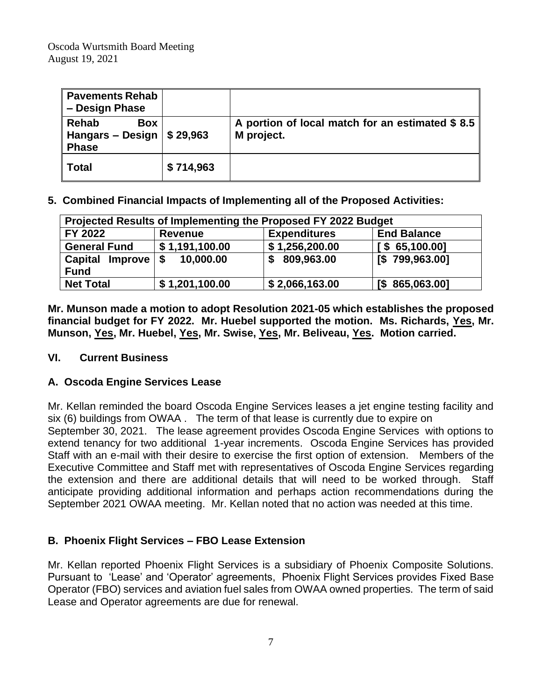| <b>Pavements Rehab</b><br>- Design Phase                                 |           |                                                               |
|--------------------------------------------------------------------------|-----------|---------------------------------------------------------------|
| Rehab<br>Box<br>Hangars - Design $\frac{1}{2}$ \$ 29,963<br><b>Phase</b> |           | A portion of local match for an estimated \$8.5<br>M project. |
| <b>Total</b>                                                             | \$714,963 |                                                               |

**5. Combined Financial Impacts of Implementing all of the Proposed Activities:** 

| Projected Results of Implementing the Proposed FY 2022 Budget |                   |                     |                    |  |  |  |
|---------------------------------------------------------------|-------------------|---------------------|--------------------|--|--|--|
| FY 2022                                                       | <b>Revenue</b>    | <b>Expenditures</b> | <b>End Balance</b> |  |  |  |
| <b>General Fund</b>                                           | \$1,191,100.00    | \$1,256,200.00      | $S$ 65,100.00]     |  |  |  |
| <b>Capital</b><br><b>Improve</b>                              | 10,000.00<br>l \$ | 809,963.00<br>S     | [\$799,963.00]     |  |  |  |
| <b>Fund</b>                                                   |                   |                     |                    |  |  |  |
| <b>Net Total</b>                                              | \$1,201,100.00    | \$2,066,163.00      | [\$865,063.00]     |  |  |  |

**Mr. Munson made a motion to adopt Resolution 2021-05 which establishes the proposed financial budget for FY 2022. Mr. Huebel supported the motion. Ms. Richards, Yes, Mr. Munson, Yes, Mr. Huebel, Yes, Mr. Swise, Yes, Mr. Beliveau, Yes. Motion carried.**

## **VI. Current Business**

## **A. Oscoda Engine Services Lease**

Mr. Kellan reminded the board Oscoda Engine Services leases a jet engine testing facility and six (6) buildings from OWAA . The term of that lease is currently due to expire on September 30, 2021. The lease agreement provides Oscoda Engine Services with options to extend tenancy for two additional 1-year increments. Oscoda Engine Services has provided Staff with an e-mail with their desire to exercise the first option of extension. Members of the Executive Committee and Staff met with representatives of Oscoda Engine Services regarding the extension and there are additional details that will need to be worked through. Staff anticipate providing additional information and perhaps action recommendations during the September 2021 OWAA meeting. Mr. Kellan noted that no action was needed at this time.

## **B. Phoenix Flight Services – FBO Lease Extension**

Mr. Kellan reported Phoenix Flight Services is a subsidiary of Phoenix Composite Solutions. Pursuant to 'Lease' and 'Operator' agreements, Phoenix Flight Services provides Fixed Base Operator (FBO) services and aviation fuel sales from OWAA owned properties. The term of said Lease and Operator agreements are due for renewal.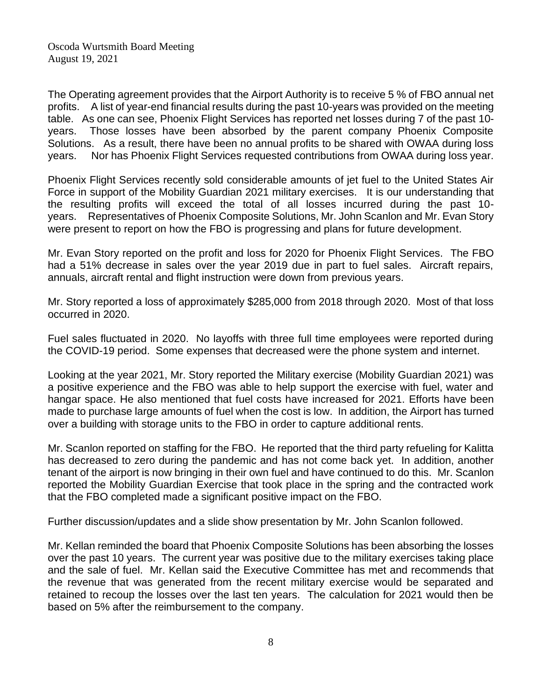The Operating agreement provides that the Airport Authority is to receive 5 % of FBO annual net profits. A list of year-end financial results during the past 10-years was provided on the meeting table. As one can see, Phoenix Flight Services has reported net losses during 7 of the past 10 years. Those losses have been absorbed by the parent company Phoenix Composite Solutions. As a result, there have been no annual profits to be shared with OWAA during loss years. Nor has Phoenix Flight Services requested contributions from OWAA during loss year.

Phoenix Flight Services recently sold considerable amounts of jet fuel to the United States Air Force in support of the Mobility Guardian 2021 military exercises. It is our understanding that the resulting profits will exceed the total of all losses incurred during the past 10 years. Representatives of Phoenix Composite Solutions, Mr. John Scanlon and Mr. Evan Story were present to report on how the FBO is progressing and plans for future development.

Mr. Evan Story reported on the profit and loss for 2020 for Phoenix Flight Services. The FBO had a 51% decrease in sales over the year 2019 due in part to fuel sales. Aircraft repairs, annuals, aircraft rental and flight instruction were down from previous years.

Mr. Story reported a loss of approximately \$285,000 from 2018 through 2020. Most of that loss occurred in 2020.

Fuel sales fluctuated in 2020. No layoffs with three full time employees were reported during the COVID-19 period. Some expenses that decreased were the phone system and internet.

Looking at the year 2021, Mr. Story reported the Military exercise (Mobility Guardian 2021) was a positive experience and the FBO was able to help support the exercise with fuel, water and hangar space. He also mentioned that fuel costs have increased for 2021. Efforts have been made to purchase large amounts of fuel when the cost is low. In addition, the Airport has turned over a building with storage units to the FBO in order to capture additional rents.

Mr. Scanlon reported on staffing for the FBO. He reported that the third party refueling for Kalitta has decreased to zero during the pandemic and has not come back yet. In addition, another tenant of the airport is now bringing in their own fuel and have continued to do this. Mr. Scanlon reported the Mobility Guardian Exercise that took place in the spring and the contracted work that the FBO completed made a significant positive impact on the FBO.

Further discussion/updates and a slide show presentation by Mr. John Scanlon followed.

Mr. Kellan reminded the board that Phoenix Composite Solutions has been absorbing the losses over the past 10 years. The current year was positive due to the military exercises taking place and the sale of fuel. Mr. Kellan said the Executive Committee has met and recommends that the revenue that was generated from the recent military exercise would be separated and retained to recoup the losses over the last ten years. The calculation for 2021 would then be based on 5% after the reimbursement to the company.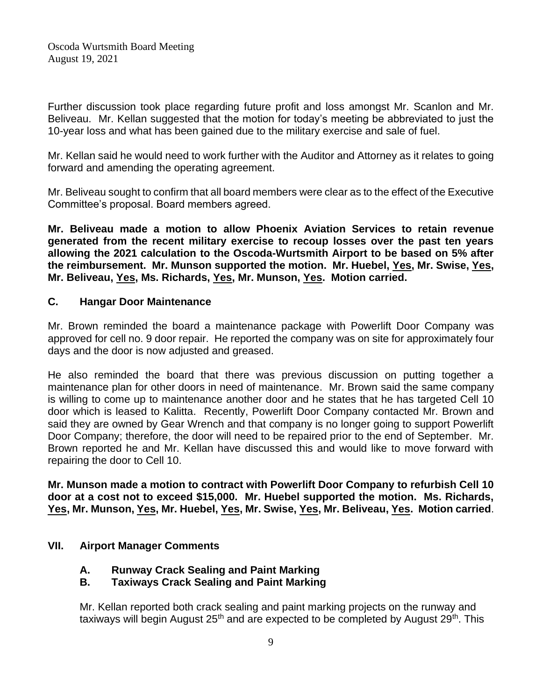Further discussion took place regarding future profit and loss amongst Mr. Scanlon and Mr. Beliveau. Mr. Kellan suggested that the motion for today's meeting be abbreviated to just the 10-year loss and what has been gained due to the military exercise and sale of fuel.

Mr. Kellan said he would need to work further with the Auditor and Attorney as it relates to going forward and amending the operating agreement.

Mr. Beliveau sought to confirm that all board members were clear as to the effect of the Executive Committee's proposal. Board members agreed.

**Mr. Beliveau made a motion to allow Phoenix Aviation Services to retain revenue generated from the recent military exercise to recoup losses over the past ten years allowing the 2021 calculation to the Oscoda-Wurtsmith Airport to be based on 5% after the reimbursement. Mr. Munson supported the motion. Mr. Huebel, Yes, Mr. Swise, Yes, Mr. Beliveau, Yes, Ms. Richards, Yes, Mr. Munson, Yes. Motion carried.**

## **C. Hangar Door Maintenance**

Mr. Brown reminded the board a maintenance package with Powerlift Door Company was approved for cell no. 9 door repair. He reported the company was on site for approximately four days and the door is now adjusted and greased.

He also reminded the board that there was previous discussion on putting together a maintenance plan for other doors in need of maintenance. Mr. Brown said the same company is willing to come up to maintenance another door and he states that he has targeted Cell 10 door which is leased to Kalitta. Recently, Powerlift Door Company contacted Mr. Brown and said they are owned by Gear Wrench and that company is no longer going to support Powerlift Door Company; therefore, the door will need to be repaired prior to the end of September. Mr. Brown reported he and Mr. Kellan have discussed this and would like to move forward with repairing the door to Cell 10.

**Mr. Munson made a motion to contract with Powerlift Door Company to refurbish Cell 10 door at a cost not to exceed \$15,000. Mr. Huebel supported the motion. Ms. Richards, Yes, Mr. Munson, Yes, Mr. Huebel, Yes, Mr. Swise, Yes, Mr. Beliveau, Yes. Motion carried**.

## **VII. Airport Manager Comments**

**A. Runway Crack Sealing and Paint Marking**

## **B. Taxiways Crack Sealing and Paint Marking**

Mr. Kellan reported both crack sealing and paint marking projects on the runway and taxiways will begin August 25<sup>th</sup> and are expected to be completed by August 29<sup>th</sup>. This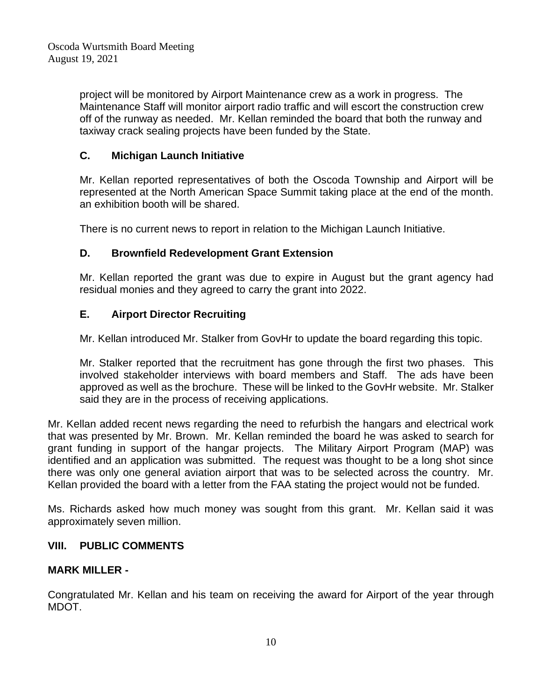project will be monitored by Airport Maintenance crew as a work in progress. The Maintenance Staff will monitor airport radio traffic and will escort the construction crew off of the runway as needed. Mr. Kellan reminded the board that both the runway and taxiway crack sealing projects have been funded by the State.

## **C. Michigan Launch Initiative**

Mr. Kellan reported representatives of both the Oscoda Township and Airport will be represented at the North American Space Summit taking place at the end of the month. an exhibition booth will be shared.

There is no current news to report in relation to the Michigan Launch Initiative.

## **D. Brownfield Redevelopment Grant Extension**

Mr. Kellan reported the grant was due to expire in August but the grant agency had residual monies and they agreed to carry the grant into 2022.

# **E. Airport Director Recruiting**

Mr. Kellan introduced Mr. Stalker from GovHr to update the board regarding this topic.

Mr. Stalker reported that the recruitment has gone through the first two phases. This involved stakeholder interviews with board members and Staff. The ads have been approved as well as the brochure. These will be linked to the GovHr website. Mr. Stalker said they are in the process of receiving applications.

Mr. Kellan added recent news regarding the need to refurbish the hangars and electrical work that was presented by Mr. Brown. Mr. Kellan reminded the board he was asked to search for grant funding in support of the hangar projects. The Military Airport Program (MAP) was identified and an application was submitted. The request was thought to be a long shot since there was only one general aviation airport that was to be selected across the country. Mr. Kellan provided the board with a letter from the FAA stating the project would not be funded.

Ms. Richards asked how much money was sought from this grant. Mr. Kellan said it was approximately seven million.

## **VIII. PUBLIC COMMENTS**

## **MARK MILLER -**

Congratulated Mr. Kellan and his team on receiving the award for Airport of the year through MDOT.